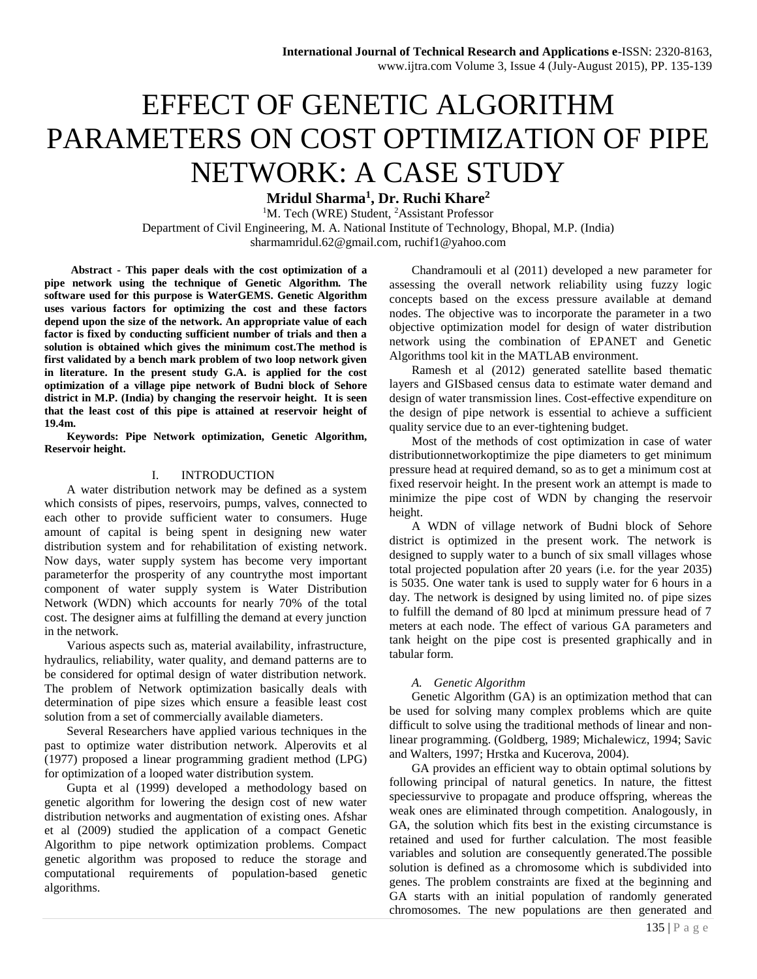# EFFECT OF GENETIC ALGORITHM PARAMETERS ON COST OPTIMIZATION OF PIPE NETWORK: A CASE STUDY

**Mridul Sharma<sup>1</sup> , Dr. Ruchi Khare<sup>2</sup>**

<sup>1</sup>M. Tech (WRE) Student, <sup>2</sup>Assistant Professor Department of Civil Engineering, M. A. National Institute of Technology, Bhopal, M.P. (India) sharmamridul.62@gmail.com, ruchif1@yahoo.com

**Abstract - This paper deals with the cost optimization of a pipe network using the technique of Genetic Algorithm. The software used for this purpose is WaterGEMS. Genetic Algorithm uses various factors for optimizing the cost and these factors depend upon the size of the network. An appropriate value of each factor is fixed by conducting sufficient number of trials and then a solution is obtained which gives the minimum cost.The method is first validated by a bench mark problem of two loop network given in literature. In the present study G.A. is applied for the cost optimization of a village pipe network of Budni block of Sehore district in M.P. (India) by changing the reservoir height. It is seen that the least cost of this pipe is attained at reservoir height of 19.4m.**

**Keywords: Pipe Network optimization, Genetic Algorithm, Reservoir height.**

### I. INTRODUCTION

A water distribution network may be defined as a system which consists of pipes, reservoirs, pumps, valves, connected to each other to provide sufficient water to consumers. Huge amount of capital is being spent in designing new water distribution system and for rehabilitation of existing network. Now days, water supply system has become very important parameterfor the prosperity of any countrythe most important component of water supply system is Water Distribution Network (WDN) which accounts for nearly 70% of the total cost. The designer aims at fulfilling the demand at every junction in the network.

Various aspects such as, material availability, infrastructure, hydraulics, reliability, water quality, and demand patterns are to be considered for optimal design of water distribution network. The problem of Network optimization basically deals with determination of pipe sizes which ensure a feasible least cost solution from a set of commercially available diameters.

Several Researchers have applied various techniques in the past to optimize water distribution network. Alperovits et al (1977) proposed a linear programming gradient method (LPG) for optimization of a looped water distribution system.

Gupta et al (1999) developed a methodology based on genetic algorithm for lowering the design cost of new water distribution networks and augmentation of existing ones. Afshar et al (2009) studied the application of a compact Genetic Algorithm to pipe network optimization problems. Compact genetic algorithm was proposed to reduce the storage and computational requirements of population-based genetic algorithms.

Chandramouli et al (2011) developed a new parameter for assessing the overall network reliability using fuzzy logic concepts based on the excess pressure available at demand nodes. The objective was to incorporate the parameter in a two objective optimization model for design of water distribution network using the combination of EPANET and Genetic Algorithms tool kit in the MATLAB environment.

Ramesh et al (2012) generated satellite based thematic layers and GISbased census data to estimate water demand and design of water transmission lines. Cost-effective expenditure on the design of pipe network is essential to achieve a sufficient quality service due to an ever-tightening budget.

Most of the methods of cost optimization in case of water distributionnetworkoptimize the pipe diameters to get minimum pressure head at required demand, so as to get a minimum cost at fixed reservoir height. In the present work an attempt is made to minimize the pipe cost of WDN by changing the reservoir height.

A WDN of village network of Budni block of Sehore district is optimized in the present work. The network is designed to supply water to a bunch of six small villages whose total projected population after 20 years (i.e. for the year 2035) is 5035. One water tank is used to supply water for 6 hours in a day. The network is designed by using limited no. of pipe sizes to fulfill the demand of 80 lpcd at minimum pressure head of 7 meters at each node. The effect of various GA parameters and tank height on the pipe cost is presented graphically and in tabular form.

#### *A. Genetic Algorithm*

Genetic Algorithm (GA) is an optimization method that can be used for solving many complex problems which are quite difficult to solve using the traditional methods of linear and nonlinear programming. (Goldberg, 1989; Michalewicz, 1994; Savic and Walters, 1997; Hrstka and Kucerova, 2004).

GA provides an efficient way to obtain optimal solutions by following principal of natural genetics. In nature, the fittest speciessurvive to propagate and produce offspring, whereas the weak ones are eliminated through competition. Analogously, in GA, the solution which fits best in the existing circumstance is retained and used for further calculation. The most feasible variables and solution are consequently generated.The possible solution is defined as a chromosome which is subdivided into genes. The problem constraints are fixed at the beginning and GA starts with an initial population of randomly generated chromosomes. The new populations are then generated and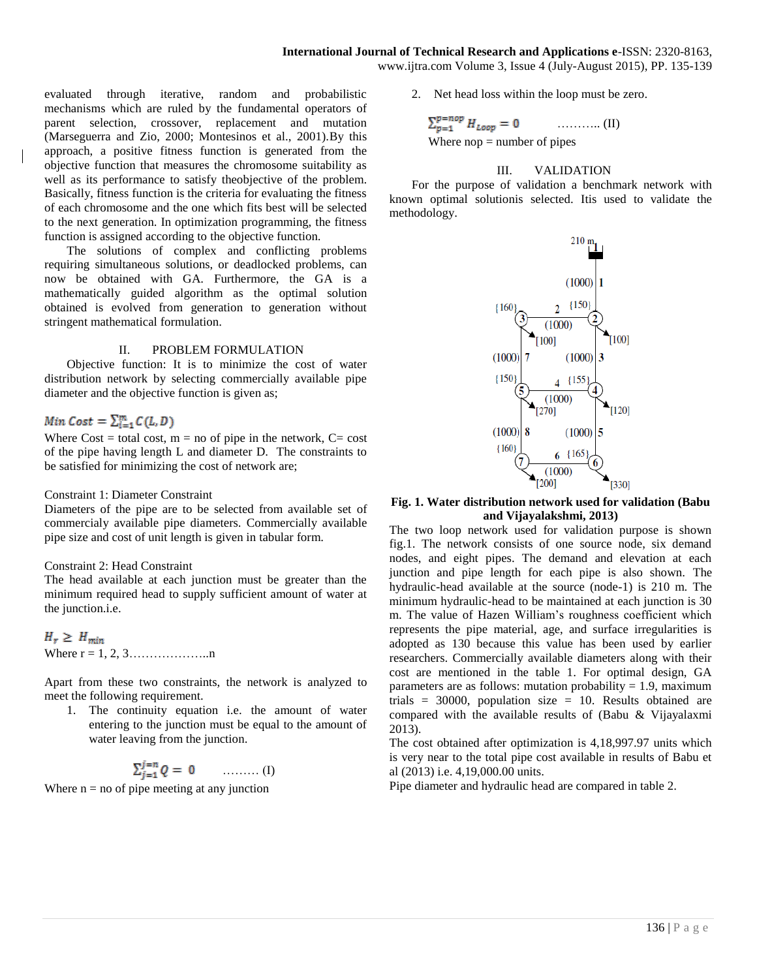www.ijtra.com Volume 3, Issue 4 (July-August 2015), PP. 135-139

evaluated through iterative, random and probabilistic mechanisms which are ruled by the fundamental operators of parent selection, crossover, replacement and mutation (Marseguerra and Zio, 2000; Montesinos et al., 2001).By this approach, a positive fitness function is generated from the objective function that measures the chromosome suitability as well as its performance to satisfy theobjective of the problem. Basically, fitness function is the criteria for evaluating the fitness of each chromosome and the one which fits best will be selected to the next generation. In optimization programming, the fitness function is assigned according to the objective function.

The solutions of complex and conflicting problems requiring simultaneous solutions, or deadlocked problems, can now be obtained with GA. Furthermore, the GA is a mathematically guided algorithm as the optimal solution obtained is evolved from generation to generation without stringent mathematical formulation.

# II. PROBLEM FORMULATION

Objective function: It is to minimize the cost of water distribution network by selecting commercially available pipe diameter and the objective function is given as;

# Min Cost =  $\sum_{i=1}^{m} C(L, D)$

Where  $Cost = total cost$ ,  $m = no$  of pipe in the network,  $C = cost$ of the pipe having length L and diameter D. The constraints to be satisfied for minimizing the cost of network are;

## Constraint 1: Diameter Constraint

Diameters of the pipe are to be selected from available set of commercialy available pipe diameters. Commercially available pipe size and cost of unit length is given in tabular form.

# Constraint 2: Head Constraint

The head available at each junction must be greater than the minimum required head to supply sufficient amount of water at the junction.i.e.

 $H_r \geq H_{min}$ Where  $r = 1, 2, 3, \dots, n$ 

Apart from these two constraints, the network is analyzed to meet the following requirement.

1. The continuity equation i.e. the amount of water entering to the junction must be equal to the amount of water leaving from the junction.

$$
\sum_{j=1}^{j=n} Q = 0 \qquad \qquad \ldots \ldots \ldots (I)
$$

Where  $n = no$  of pipe meeting at any junction

2. Net head loss within the loop must be zero.

$$
\sum_{p=1}^{p=nop} H_{Loop} = 0 \qquad \qquad (II)
$$
  
Where nop = number of pipes

# III. VALIDATION

For the purpose of validation a benchmark network with known optimal solutionis selected. Itis used to validate the methodology.



**Fig. 1. Water distribution network used for validation (Babu and Vijayalakshmi, 2013)**

The two loop network used for validation purpose is shown fig.1. The network consists of one source node, six demand nodes, and eight pipes. The demand and elevation at each junction and pipe length for each pipe is also shown. The hydraulic-head available at the source (node-1) is 210 m. The minimum hydraulic-head to be maintained at each junction is 30 m. The value of Hazen William's roughness coefficient which represents the pipe material, age, and surface irregularities is adopted as 130 because this value has been used by earlier researchers. Commercially available diameters along with their cost are mentioned in the table 1. For optimal design, GA parameters are as follows: mutation probability  $= 1.9$ , maximum trials = 30000, population size = 10. Results obtained are compared with the available results of (Babu & Vijayalaxmi 2013).

The cost obtained after optimization is 4,18,997.97 units which is very near to the total pipe cost available in results of Babu et al (2013) i.e. 4,19,000.00 units.

Pipe diameter and hydraulic head are compared in table 2.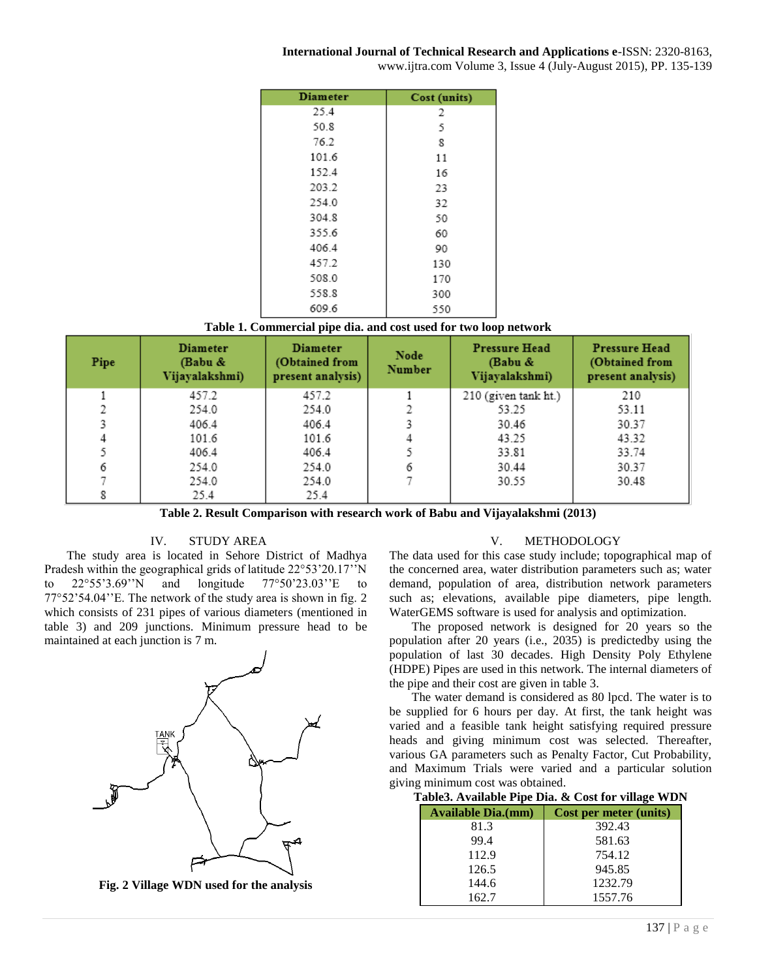# **International Journal of Technical Research and Applications e**-ISSN: 2320-8163,

www.ijtra.com Volume 3, Issue 4 (July-August 2015), PP. 135-139

| <b>Diameter</b> | Cost (units) |
|-----------------|--------------|
| 25.4            | 2            |
| 50.8            | 5            |
| 76.2            | 8            |
| 101.6           | 11           |
| 152.4           | 16           |
| 203.2           | 23           |
| 254.0           | 32           |
| 304.8           | 50           |
| 355.6           | 60           |
| 406.4           | 90           |
| 457.2           | 130          |
| 508.0           | 170          |
| 558.8           | 300          |
| 609.6           | 550          |

| Table 1. Commercial pipe dia. and cost used for two loop network |  |  |  |
|------------------------------------------------------------------|--|--|--|
|                                                                  |  |  |  |

| Pipe | <b>Diameter</b><br>(Babu &<br>Vijayalakshmi) | <b>Diameter</b><br>(Obtained from<br>present analysis) | Node<br>Number | Pressure Head<br>(Babu &<br>Vijayalakshmi) | <b>Pressure Head</b><br>(Obtained from<br>present analysis) |
|------|----------------------------------------------|--------------------------------------------------------|----------------|--------------------------------------------|-------------------------------------------------------------|
|      | 457.2                                        | 457.2                                                  |                | 210 (given tank ht.)                       | 210                                                         |
|      | 254.0                                        | 254.0                                                  |                | 53.25                                      | 53.11                                                       |
| 3    | 406.4                                        | 406.4                                                  |                | 30.46                                      | 30.37                                                       |
| 4    | 101.6                                        | 101.6                                                  |                | 43.25                                      | 43.32                                                       |
|      | 406.4                                        | 406.4                                                  |                | 33.81                                      | 33.74                                                       |
| 6    | 254.0                                        | 254.0                                                  | 6              | 30.44                                      | 30.37                                                       |
|      | 254.0                                        | 254.0                                                  |                | 30.55                                      | 30.48                                                       |
| 8    | 25.4                                         | 25.4                                                   |                |                                            |                                                             |

**Table 2. Result Comparison with research work of Babu and Vijayalakshmi (2013)**

# IV. STUDY AREA

The study area is located in Sehore District of Madhya Pradesh within the geographical grids of latitude 22°53'20.17''N to 22°55'3.69''N and longitude 77°50'23.03''E to 77°52'54.04''E. The network of the study area is shown in fig. 2 which consists of 231 pipes of various diameters (mentioned in table 3) and 209 junctions. Minimum pressure head to be maintained at each junction is 7 m.



V. METHODOLOGY

The data used for this case study include; topographical map of the concerned area, water distribution parameters such as; water demand, population of area, distribution network parameters such as; elevations, available pipe diameters, pipe length. WaterGEMS software is used for analysis and optimization.

The proposed network is designed for 20 years so the population after 20 years (i.e., 2035) is predictedby using the population of last 30 decades. High Density Poly Ethylene (HDPE) Pipes are used in this network. The internal diameters of the pipe and their cost are given in table 3.

The water demand is considered as 80 lpcd. The water is to be supplied for 6 hours per day. At first, the tank height was varied and a feasible tank height satisfying required pressure heads and giving minimum cost was selected. Thereafter, various GA parameters such as Penalty Factor, Cut Probability, and Maximum Trials were varied and a particular solution giving minimum cost was obtained.

| Table3. Available Pipe Dia. & Cost for village WDN |  |  |  |
|----------------------------------------------------|--|--|--|
|                                                    |  |  |  |

| <b>Available Dia.(mm)</b> | Cost per meter (units) |
|---------------------------|------------------------|
| 81.3                      | 392.43                 |
| 99.4                      | 581.63                 |
| 112.9                     | 754.12                 |
| 126.5                     | 945.85                 |
| 144.6                     | 1232.79                |
| 162.7                     | 1557.76                |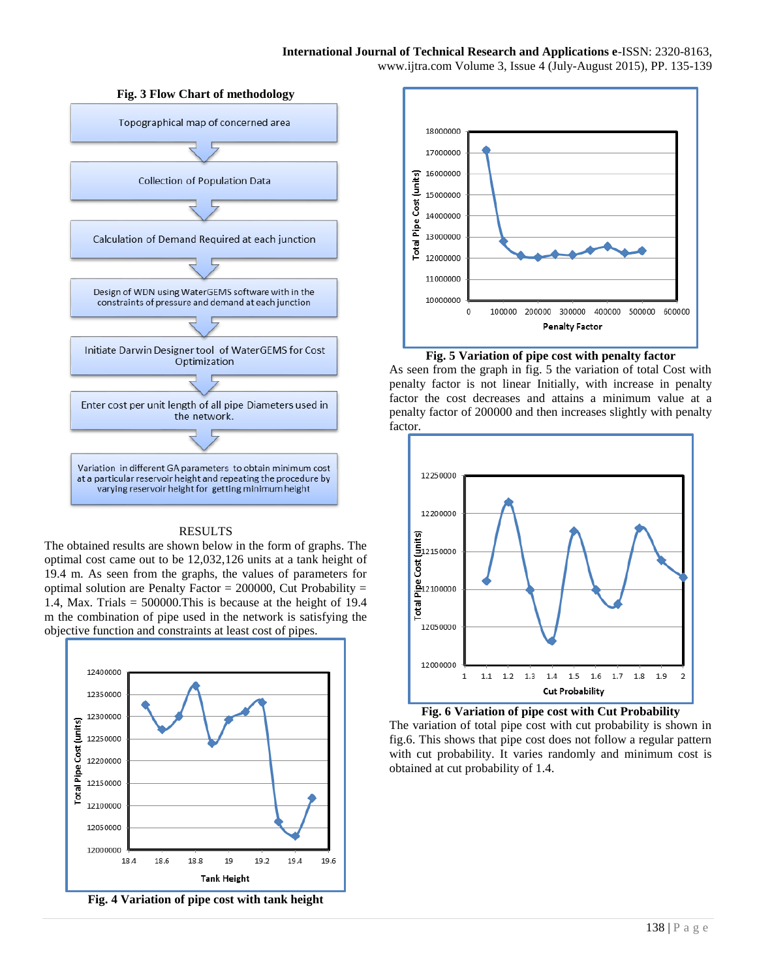### **International Journal of Technical Research and Applications e**-ISSN: 2320-8163, www.ijtra.com Volume 3, Issue 4 (July-August 2015), PP. 135-139



# RESULTS

The obtained results are shown below in the form of graphs. The optimal cost came out to be 12,032,126 units at a tank height of 19.4 m. As seen from the graphs, the values of parameters for optimal solution are Penalty Factor  $= 200000$ , Cut Probability  $=$ 1.4, Max. Trials =  $500000$ . This is because at the height of 19.4 m the combination of pipe used in the network is satisfying the objective function and constraints at least cost of pipes.



**Fig. 4 Variation of pipe cost with tank height**



# **Fig. 5 Variation of pipe cost with penalty factor**

As seen from the graph in fig. 5 the variation of total Cost with penalty factor is not linear Initially, with increase in penalty factor the cost decreases and attains a minimum value at a penalty factor of 200000 and then increases slightly with penalty factor.



### **Fig. 6 Variation of pipe cost with Cut Probability**

The variation of total pipe cost with cut probability is shown in fig.6. This shows that pipe cost does not follow a regular pattern with cut probability. It varies randomly and minimum cost is obtained at cut probability of 1.4.